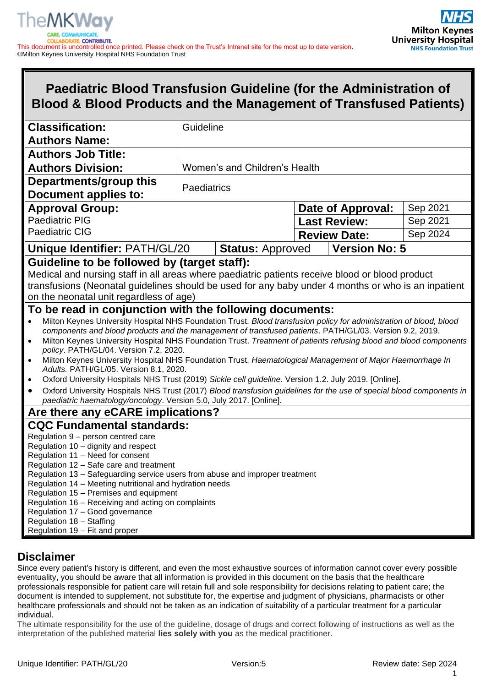

# **Paediatric Blood Transfusion Guideline (for the Administration of Blood & Blood Products and the Management of Transfused Patients)**

| <b>Classification:</b>                                                                                                                                                                                                                                                                                                                                                                                                                                                                                                                                                                                                                                                                                                                                                                                                                                 |             | Guideline                     |  |                      |          |
|--------------------------------------------------------------------------------------------------------------------------------------------------------------------------------------------------------------------------------------------------------------------------------------------------------------------------------------------------------------------------------------------------------------------------------------------------------------------------------------------------------------------------------------------------------------------------------------------------------------------------------------------------------------------------------------------------------------------------------------------------------------------------------------------------------------------------------------------------------|-------------|-------------------------------|--|----------------------|----------|
| <b>Authors Name:</b>                                                                                                                                                                                                                                                                                                                                                                                                                                                                                                                                                                                                                                                                                                                                                                                                                                   |             |                               |  |                      |          |
| <b>Authors Job Title:</b>                                                                                                                                                                                                                                                                                                                                                                                                                                                                                                                                                                                                                                                                                                                                                                                                                              |             |                               |  |                      |          |
| <b>Authors Division:</b>                                                                                                                                                                                                                                                                                                                                                                                                                                                                                                                                                                                                                                                                                                                                                                                                                               |             | Women's and Children's Health |  |                      |          |
| Departments/group this                                                                                                                                                                                                                                                                                                                                                                                                                                                                                                                                                                                                                                                                                                                                                                                                                                 |             |                               |  |                      |          |
| <b>Document applies to:</b>                                                                                                                                                                                                                                                                                                                                                                                                                                                                                                                                                                                                                                                                                                                                                                                                                            | Paediatrics |                               |  |                      |          |
| <b>Approval Group:</b>                                                                                                                                                                                                                                                                                                                                                                                                                                                                                                                                                                                                                                                                                                                                                                                                                                 |             |                               |  | Date of Approval:    | Sep 2021 |
| <b>Paediatric PIG</b>                                                                                                                                                                                                                                                                                                                                                                                                                                                                                                                                                                                                                                                                                                                                                                                                                                  |             |                               |  | <b>Last Review:</b>  | Sep 2021 |
| <b>Paediatric CIG</b>                                                                                                                                                                                                                                                                                                                                                                                                                                                                                                                                                                                                                                                                                                                                                                                                                                  |             |                               |  | <b>Review Date:</b>  | Sep 2024 |
| Unique Identifier: PATH/GL/20                                                                                                                                                                                                                                                                                                                                                                                                                                                                                                                                                                                                                                                                                                                                                                                                                          |             | <b>Status: Approved</b>       |  | <b>Version No: 5</b> |          |
| Guideline to be followed by (target staff):                                                                                                                                                                                                                                                                                                                                                                                                                                                                                                                                                                                                                                                                                                                                                                                                            |             |                               |  |                      |          |
| Medical and nursing staff in all areas where paediatric patients receive blood or blood product<br>transfusions (Neonatal guidelines should be used for any baby under 4 months or who is an inpatient<br>on the neonatal unit regardless of age)                                                                                                                                                                                                                                                                                                                                                                                                                                                                                                                                                                                                      |             |                               |  |                      |          |
| To be read in conjunction with the following documents:                                                                                                                                                                                                                                                                                                                                                                                                                                                                                                                                                                                                                                                                                                                                                                                                |             |                               |  |                      |          |
| Milton Keynes University Hospital NHS Foundation Trust. Blood transfusion policy for administration of blood, blood<br>$\bullet$<br>components and blood products and the management of transfused patients. PATH/GL/03. Version 9.2, 2019.<br>Milton Keynes University Hospital NHS Foundation Trust. Treatment of patients refusing blood and blood components<br>$\bullet$<br>policy. PATH/GL/04. Version 7.2, 2020.<br>Milton Keynes University Hospital NHS Foundation Trust. Haematological Management of Major Haemorrhage In<br>$\bullet$<br>Adults. PATH/GL/05. Version 8.1, 2020.<br>Oxford University Hospitals NHS Trust (2019) Sickle cell guideline. Version 1.2. July 2019. [Online].<br>$\bullet$<br>Oxford University Hospitals NHS Trust (2017) Blood transfusion guidelines for the use of special blood components in<br>$\bullet$ |             |                               |  |                      |          |
| paediatric haematology/oncology. Version 5.0, July 2017. [Online].                                                                                                                                                                                                                                                                                                                                                                                                                                                                                                                                                                                                                                                                                                                                                                                     |             |                               |  |                      |          |
| Are there any eCARE implications?                                                                                                                                                                                                                                                                                                                                                                                                                                                                                                                                                                                                                                                                                                                                                                                                                      |             |                               |  |                      |          |
| <b>CQC Fundamental standards:</b><br>Regulation 9 - person centred care<br>Regulation 10 - dignity and respect<br>Regulation 11 - Need for consent<br>Regulation 12 - Safe care and treatment<br>Regulation 13 - Safeguarding service users from abuse and improper treatment<br>Regulation 14 - Meeting nutritional and hydration needs<br>Regulation 15 - Premises and equipment<br>Regulation 16 - Receiving and acting on complaints<br>Regulation 17 - Good governance<br>Regulation 18 - Staffing<br>Regulation 19 - Fit and proper                                                                                                                                                                                                                                                                                                              |             |                               |  |                      |          |

# **Disclaimer**

Since every patient's history is different, and even the most exhaustive sources of information cannot cover every possible eventuality, you should be aware that all information is provided in this document on the basis that the healthcare professionals responsible for patient care will retain full and sole responsibility for decisions relating to patient care; the document is intended to supplement, not substitute for, the expertise and judgment of physicians, pharmacists or other healthcare professionals and should not be taken as an indication of suitability of a particular treatment for a particular individual.

The ultimate responsibility for the use of the guideline, dosage of drugs and correct following of instructions as well as the interpretation of the published material **lies solely with you** as the medical practitioner.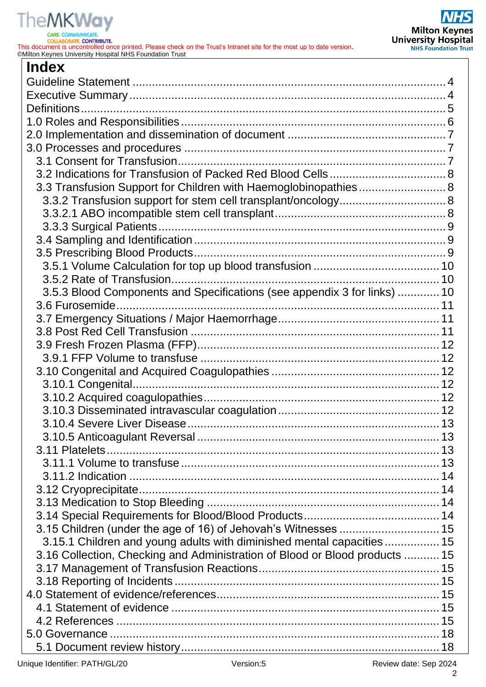# **TheMKWay**

**CARE. COLLABORATE, CONTRIBUTE.** 

This document is uncontrolled once printed. Please check on the Trust's Intranet site for the most up to date version**.** ©Milton Keynes University Hospital NHS Foundation Trust

| <b>Index</b>                                                                |    |
|-----------------------------------------------------------------------------|----|
|                                                                             |    |
|                                                                             |    |
|                                                                             |    |
|                                                                             |    |
|                                                                             |    |
|                                                                             |    |
|                                                                             |    |
|                                                                             |    |
| 3.3 Transfusion Support for Children with Haemoglobinopathies 8             |    |
|                                                                             |    |
|                                                                             |    |
|                                                                             |    |
|                                                                             |    |
|                                                                             |    |
|                                                                             |    |
|                                                                             |    |
| 3.5.3 Blood Components and Specifications (see appendix 3 for links)  10    |    |
|                                                                             |    |
|                                                                             |    |
|                                                                             |    |
|                                                                             |    |
|                                                                             |    |
|                                                                             |    |
|                                                                             |    |
|                                                                             |    |
|                                                                             |    |
|                                                                             | 13 |
|                                                                             |    |
|                                                                             |    |
|                                                                             |    |
|                                                                             |    |
|                                                                             |    |
|                                                                             |    |
|                                                                             |    |
| 3.15 Children (under the age of 16) of Jehovah's Witnesses  15              |    |
| 3.15.1 Children and young adults with diminished mental capacities 15       |    |
| 3.16 Collection, Checking and Administration of Blood or Blood products  15 |    |
|                                                                             |    |
|                                                                             |    |
|                                                                             |    |
|                                                                             |    |
|                                                                             |    |
|                                                                             |    |
|                                                                             |    |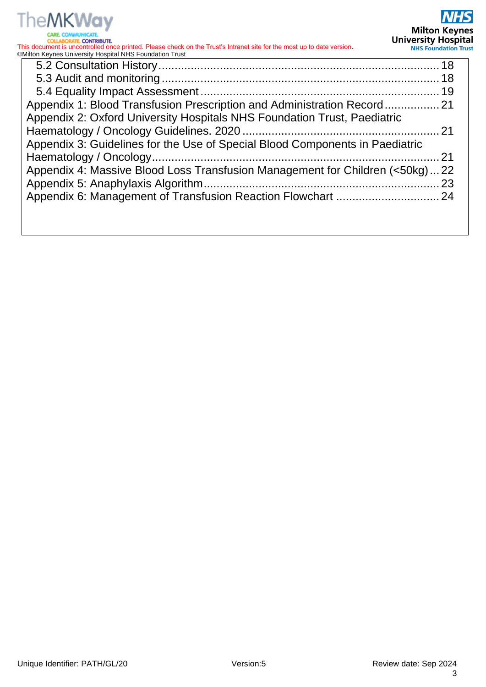

| Appendix 1: Blood Transfusion Prescription and Administration Record 21      |  |
|------------------------------------------------------------------------------|--|
| Appendix 2: Oxford University Hospitals NHS Foundation Trust, Paediatric     |  |
|                                                                              |  |
| Appendix 3: Guidelines for the Use of Special Blood Components in Paediatric |  |
|                                                                              |  |
| Appendix 4: Massive Blood Loss Transfusion Management for Children (<50kg)22 |  |
|                                                                              |  |
|                                                                              |  |
|                                                                              |  |
|                                                                              |  |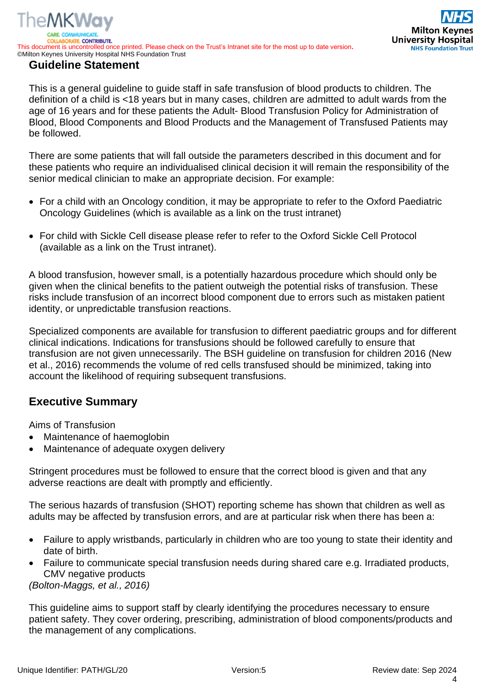<span id="page-3-0"></span>This is a general guideline to guide staff in safe transfusion of blood products to children. The definition of a child is <18 years but in many cases, children are admitted to adult wards from the age of 16 years and for these patients the Adult- Blood Transfusion Policy for Administration of Blood, Blood Components and Blood Products and the Management of Transfused Patients may be followed.

There are some patients that will fall outside the parameters described in this document and for these patients who require an individualised clinical decision it will remain the responsibility of the senior medical clinician to make an appropriate decision. For example:

- For a child with an Oncology condition, it may be appropriate to refer to the Oxford Paediatric Oncology Guidelines (which is available as a link on the trust intranet)
- For child with Sickle Cell disease please refer to refer to the Oxford Sickle Cell Protocol (available as a link on the Trust intranet).

A blood transfusion, however small, is a potentially hazardous procedure which should only be given when the clinical benefits to the patient outweigh the potential risks of transfusion. These risks include transfusion of an incorrect blood component due to errors such as mistaken patient identity, or unpredictable transfusion reactions.

Specialized components are available for transfusion to different paediatric groups and for different clinical indications. Indications for transfusions should be followed carefully to ensure that transfusion are not given unnecessarily. The BSH guideline on transfusion for children 2016 (New et al., 2016) recommends the volume of red cells transfused should be minimized, taking into account the likelihood of requiring subsequent transfusions.

# <span id="page-3-1"></span>**Executive Summary**

Aims of Transfusion

The MKWav

- Maintenance of haemoglobin
- Maintenance of adequate oxygen delivery

Stringent procedures must be followed to ensure that the correct blood is given and that any adverse reactions are dealt with promptly and efficiently.

The serious hazards of transfusion (SHOT) reporting scheme has shown that children as well as adults may be affected by transfusion errors, and are at particular risk when there has been a:

- Failure to apply wristbands, particularly in children who are too young to state their identity and date of birth.
- Failure to communicate special transfusion needs during shared care e.g. Irradiated products, CMV negative products

*(Bolton-Maggs, et al., 2016)*

This guideline aims to support staff by clearly identifying the procedures necessary to ensure patient safety. They cover ordering, prescribing, administration of blood components/products and the management of any complications.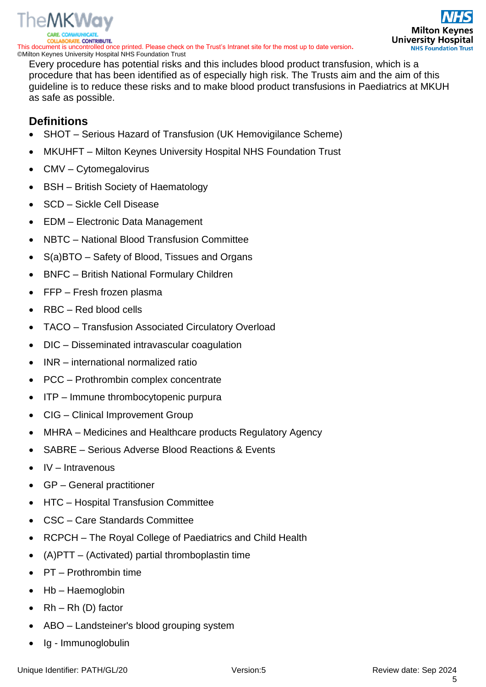

Every procedure has potential risks and this includes blood product transfusion, which is a procedure that has been identified as of especially high risk. The Trusts aim and the aim of this guideline is to reduce these risks and to make blood product transfusions in Paediatrics at MKUH as safe as possible.

# <span id="page-4-0"></span>**Definitions**

- SHOT Serious Hazard of Transfusion (UK Hemovigilance Scheme)
- MKUHFT Milton Keynes University Hospital NHS Foundation Trust
- CMV Cytomegalovirus
- BSH British Society of Haematology
- SCD Sickle Cell Disease
- EDM Electronic Data Management
- NBTC National Blood Transfusion Committee
- S(a)BTO Safety of Blood, Tissues and Organs
- BNFC British National Formulary Children
- FFP Fresh frozen plasma
- RBC Red blood cells
- TACO Transfusion Associated Circulatory Overload
- DIC Disseminated intravascular coagulation
- INR international normalized ratio
- PCC Prothrombin complex concentrate
- ITP Immune thrombocytopenic purpura
- CIG Clinical Improvement Group
- MHRA Medicines and Healthcare products Regulatory Agency
- SABRE Serious Adverse Blood Reactions & Events
- IV Intravenous
- GP General practitioner
- HTC Hospital Transfusion Committee
- CSC Care Standards Committee
- RCPCH The Royal College of Paediatrics and Child Health
- (A)PTT (Activated) partial thromboplastin time
- PT Prothrombin time
- Hb Haemoglobin
- $Rh Rh (D)$  factor
- ABO Landsteiner's blood grouping system
- Ig Immunoglobulin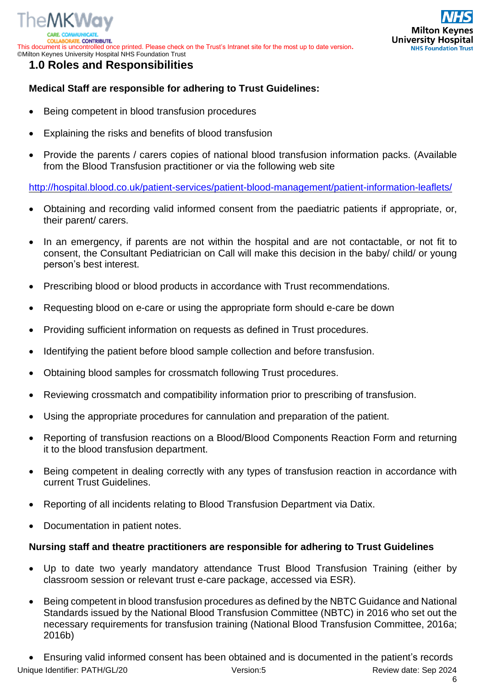



# <span id="page-5-0"></span>**1.0 Roles and Responsibilities**

# **Medical Staff are responsible for adhering to Trust Guidelines:**

- Being competent in blood transfusion procedures
- Explaining the risks and benefits of blood transfusion
- Provide the parents / carers copies of national blood transfusion information packs. (Available from the Blood Transfusion practitioner or via the following web site

<http://hospital.blood.co.uk/patient-services/patient-blood-management/patient-information-leaflets/>

- Obtaining and recording valid informed consent from the paediatric patients if appropriate, or, their parent/ carers.
- In an emergency, if parents are not within the hospital and are not contactable, or not fit to consent, the Consultant Pediatrician on Call will make this decision in the baby/ child/ or young person's best interest.
- Prescribing blood or blood products in accordance with Trust recommendations.
- Requesting blood on e-care or using the appropriate form should e-care be down
- Providing sufficient information on requests as defined in Trust procedures.
- Identifying the patient before blood sample collection and before transfusion.
- Obtaining blood samples for crossmatch following Trust procedures.
- Reviewing crossmatch and compatibility information prior to prescribing of transfusion.
- Using the appropriate procedures for cannulation and preparation of the patient.
- Reporting of transfusion reactions on a Blood/Blood Components Reaction Form and returning it to the blood transfusion department.
- Being competent in dealing correctly with any types of transfusion reaction in accordance with current Trust Guidelines.
- Reporting of all incidents relating to Blood Transfusion Department via Datix.
- Documentation in patient notes.

#### **Nursing staff and theatre practitioners are responsible for adhering to Trust Guidelines**

- Up to date two yearly mandatory attendance Trust Blood Transfusion Training (either by classroom session or relevant trust e-care package, accessed via ESR).
- Being competent in blood transfusion procedures as defined by the NBTC Guidance and National Standards issued by the National Blood Transfusion Committee (NBTC) in 2016 who set out the necessary requirements for transfusion training (National Blood Transfusion Committee, 2016a; 2016b)

Unique Identifier: PATH/GL/20 **Network and Sep 2024** Version:5 **Review date: Sep 2024** Review date: Sep 2024 • Ensuring valid informed consent has been obtained and is documented in the patient's records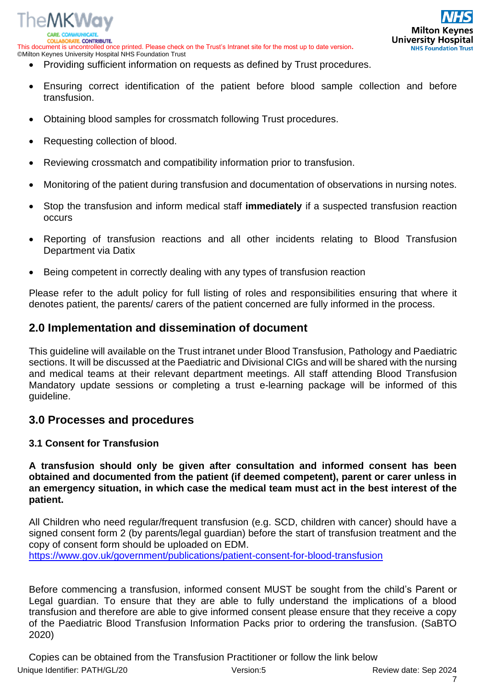

- Providing sufficient information on requests as defined by Trust procedures.
- Ensuring correct identification of the patient before blood sample collection and before transfusion.
- Obtaining blood samples for crossmatch following Trust procedures.
- Requesting collection of blood.

ATE. CONTRIBUTE.

The MKWay

- Reviewing crossmatch and compatibility information prior to transfusion.
- Monitoring of the patient during transfusion and documentation of observations in nursing notes.
- Stop the transfusion and inform medical staff **immediately** if a suspected transfusion reaction occurs
- Reporting of transfusion reactions and all other incidents relating to Blood Transfusion Department via Datix
- Being competent in correctly dealing with any types of transfusion reaction

Please refer to the adult policy for full listing of roles and responsibilities ensuring that where it denotes patient, the parents/ carers of the patient concerned are fully informed in the process.

# <span id="page-6-0"></span>**2.0 Implementation and dissemination of document**

This guideline will available on the Trust intranet under Blood Transfusion, Pathology and Paediatric sections. It will be discussed at the Paediatric and Divisional CIGs and will be shared with the nursing and medical teams at their relevant department meetings. All staff attending Blood Transfusion Mandatory update sessions or completing a trust e-learning package will be informed of this guideline.

# <span id="page-6-1"></span>**3.0 Processes and procedures**

#### <span id="page-6-2"></span>**3.1 Consent for Transfusion**

**A transfusion should only be given after consultation and informed consent has been obtained and documented from the patient (if deemed competent), parent or carer unless in an emergency situation, in which case the medical team must act in the best interest of the patient.**

All Children who need regular/frequent transfusion (e.g. SCD, children with cancer) should have a signed consent form 2 (by parents/legal guardian) before the start of transfusion treatment and the copy of consent form should be uploaded on EDM. <https://www.gov.uk/government/publications/patient-consent-for-blood-transfusion>

Before commencing a transfusion, informed consent MUST be sought from the child's Parent or Legal guardian. To ensure that they are able to fully understand the implications of a blood transfusion and therefore are able to give informed consent please ensure that they receive a copy of the Paediatric Blood Transfusion Information Packs prior to ordering the transfusion. (SaBTO 2020)

Unique Identifier: PATH/GL/20 **Network and Sep 2024** Version:5 **Review date: Sep 2024** Review date: Sep 2024 Copies can be obtained from the Transfusion Practitioner or follow the link below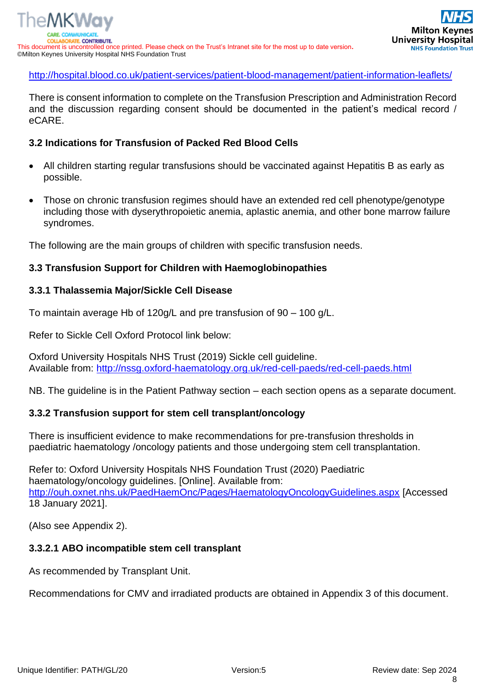# <http://hospital.blood.co.uk/patient-services/patient-blood-management/patient-information-leaflets/>

There is consent information to complete on the Transfusion Prescription and Administration Record and the discussion regarding consent should be documented in the patient's medical record / eCARE.

# <span id="page-7-0"></span>**3.2 Indications for Transfusion of Packed Red Blood Cells**

- All children starting regular transfusions should be vaccinated against Hepatitis B as early as possible.
- Those on chronic transfusion regimes should have an extended red cell phenotype/genotype including those with dyserythropoietic anemia, aplastic anemia, and other bone marrow failure syndromes.

The following are the main groups of children with specific transfusion needs.

# <span id="page-7-1"></span>**3.3 Transfusion Support for Children with Haemoglobinopathies**

# **3.3.1 Thalassemia Major/Sickle Cell Disease**

To maintain average Hb of 120g/L and pre transfusion of 90 – 100 g/L.

Refer to Sickle Cell Oxford Protocol link below:

Oxford University Hospitals NHS Trust (2019) Sickle cell guideline. Available from:<http://nssg.oxford-haematology.org.uk/red-cell-paeds/red-cell-paeds.html>

NB. The guideline is in the Patient Pathway section – each section opens as a separate document.

# <span id="page-7-2"></span>**3.3.2 Transfusion support for stem cell transplant/oncology**

There is insufficient evidence to make recommendations for pre-transfusion thresholds in paediatric haematology /oncology patients and those undergoing stem cell transplantation.

Refer to: Oxford University Hospitals NHS Foundation Trust (2020) Paediatric haematology/oncology guidelines. [Online]. Available from: <http://ouh.oxnet.nhs.uk/PaedHaemOnc/Pages/HaematologyOncologyGuidelines.aspx> [Accessed 18 January 2021].

(Also see Appendix 2).

# <span id="page-7-3"></span>**3.3.2.1 ABO incompatible stem cell transplant**

As recommended by Transplant Unit.

Recommendations for CMV and irradiated products are obtained in Appendix 3 of this document.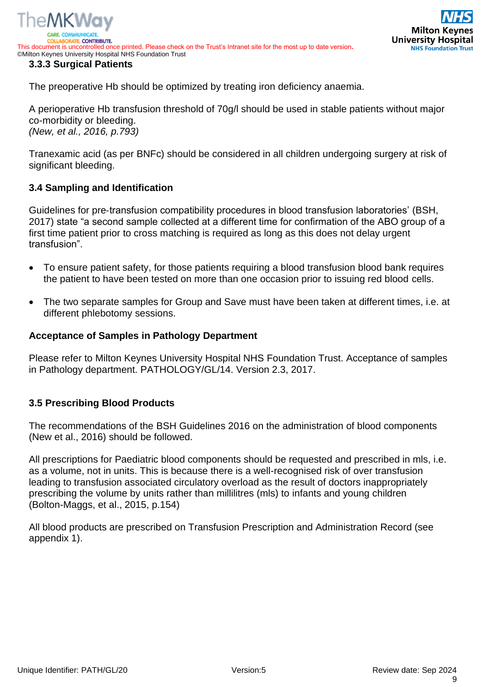



<span id="page-8-0"></span>The preoperative Hb should be optimized by treating iron deficiency anaemia.

A perioperative Hb transfusion threshold of 70g/l should be used in stable patients without major co-morbidity or bleeding. *(New, et al., 2016, p.793)*

Tranexamic acid (as per BNFc) should be considered in all children undergoing surgery at risk of significant bleeding.

# <span id="page-8-1"></span>**3.4 Sampling and Identification**

Guidelines for pre‐transfusion compatibility procedures in blood transfusion laboratories' (BSH, 2017) state "a second sample collected at a different time for confirmation of the ABO group of a first time patient prior to cross matching is required as long as this does not delay urgent transfusion".

- To ensure patient safety, for those patients requiring a blood transfusion blood bank requires the patient to have been tested on more than one occasion prior to issuing red blood cells.
- The two separate samples for Group and Save must have been taken at different times, i.e. at different phlebotomy sessions.

#### **Acceptance of Samples in Pathology Department**

Please refer to Milton Keynes University Hospital NHS Foundation Trust. Acceptance of samples in Pathology department. PATHOLOGY/GL/14. Version 2.3, 2017.

#### <span id="page-8-2"></span>**3.5 Prescribing Blood Products**

The recommendations of the BSH Guidelines 2016 on the administration of blood components (New et al., 2016) should be followed.

All prescriptions for Paediatric blood components should be requested and prescribed in mls, i.e. as a volume, not in units. This is because there is a well-recognised risk of over transfusion leading to transfusion associated circulatory overload as the result of doctors inappropriately prescribing the volume by units rather than millilitres (mls) to infants and young children (Bolton-Maggs, et al., 2015, p.154)

All blood products are prescribed on Transfusion Prescription and Administration Record (see appendix 1).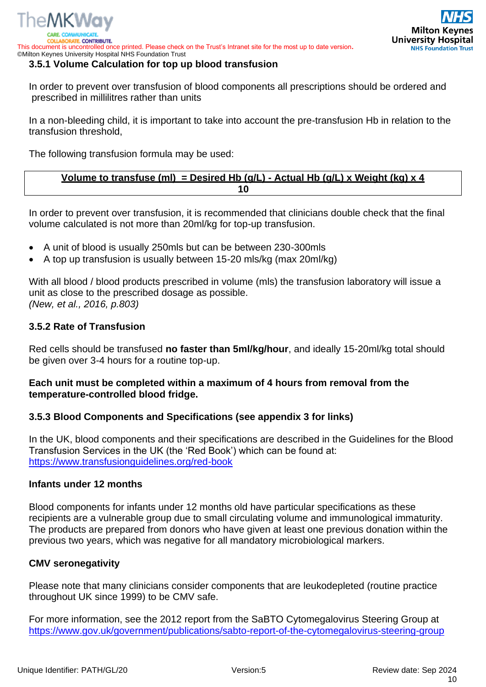

#### <span id="page-9-0"></span>**3.5.1 Volume Calculation for top up blood transfusion**

In order to prevent over transfusion of blood components all prescriptions should be ordered and prescribed in millilitres rather than units

In a non-bleeding child, it is important to take into account the pre-transfusion Hb in relation to the transfusion threshold,

The following transfusion formula may be used:

# **Volume to transfuse (ml) = Desired Hb (g/L) - Actual Hb (g/L) x Weight (kg) x 4 10**

In order to prevent over transfusion, it is recommended that clinicians double check that the final volume calculated is not more than 20ml/kg for top-up transfusion.

- A unit of blood is usually 250mls but can be between 230-300mls
- A top up transfusion is usually between 15-20 mls/kg (max 20ml/kg)

With all blood / blood products prescribed in volume (mls) the transfusion laboratory will issue a unit as close to the prescribed dosage as possible. *(New, et al., 2016, p.803)*

# <span id="page-9-1"></span>**3.5.2 Rate of Transfusion**

The MKWay

Red cells should be transfused **no faster than 5ml/kg/hour**, and ideally 15-20ml/kg total should be given over 3-4 hours for a routine top-up.

# **Each unit must be completed within a maximum of 4 hours from removal from the temperature-controlled blood fridge.**

# <span id="page-9-2"></span>**3.5.3 Blood Components and Specifications (see appendix 3 for links)**

In the UK, blood components and their specifications are described in the Guidelines for the Blood Transfusion Services in the UK (the 'Red Book') which can be found at: <https://www.transfusionguidelines.org/red-book>

#### **Infants under 12 months**

Blood components for infants under 12 months old have particular specifications as these recipients are a vulnerable group due to small circulating volume and immunological immaturity. The products are prepared from donors who have given at least one previous donation within the previous two years, which was negative for all mandatory microbiological markers.

#### **CMV seronegativity**

Please note that many clinicians consider components that are leukodepleted (routine practice throughout UK since 1999) to be CMV safe.

For more information, see the 2012 report from the SaBTO Cytomegalovirus Steering Group at <https://www.gov.uk/government/publications/sabto-report-of-the-cytomegalovirus-steering-group>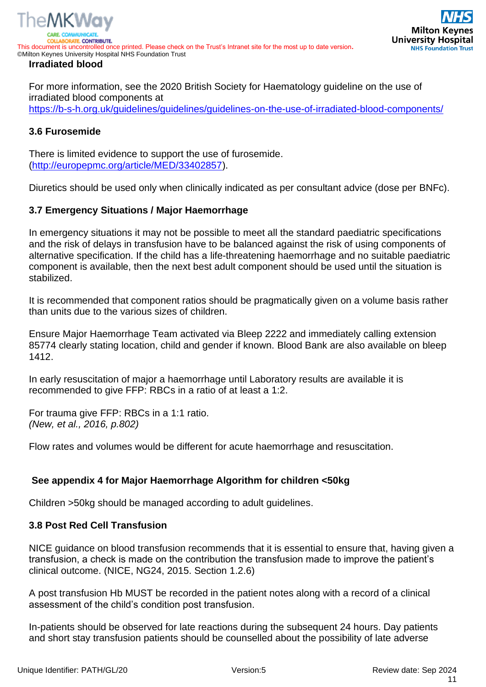

For more information, see the 2020 British Society for Haematology guideline on the use of irradiated blood components at <https://b-s-h.org.uk/guidelines/guidelines/guidelines-on-the-use-of-irradiated-blood-components/>

# <span id="page-10-0"></span>**3.6 Furosemide**

There is limited evidence to support the use of furosemide. [\(http://europepmc.org/article/MED/33402857\)](http://europepmc.org/article/MED/33402857).

Diuretics should be used only when clinically indicated as per consultant advice (dose per BNFc).

# <span id="page-10-1"></span>**3.7 Emergency Situations / Major Haemorrhage**

In emergency situations it may not be possible to meet all the standard paediatric specifications and the risk of delays in transfusion have to be balanced against the risk of using components of alternative specification. If the child has a life-threatening haemorrhage and no suitable paediatric component is available, then the next best adult component should be used until the situation is stabilized.

It is recommended that component ratios should be pragmatically given on a volume basis rather than units due to the various sizes of children.

Ensure Major Haemorrhage Team activated via Bleep 2222 and immediately calling extension 85774 clearly stating location, child and gender if known. Blood Bank are also available on bleep 1412.

In early resuscitation of major a haemorrhage until Laboratory results are available it is recommended to give FFP: RBCs in a ratio of at least a 1:2.

For trauma give FFP: RBCs in a 1:1 ratio. *(New, et al., 2016, p.802)*

Flow rates and volumes would be different for acute haemorrhage and resuscitation.

# **See appendix 4 for Major Haemorrhage Algorithm for children <50kg**

Children >50kg should be managed according to adult guidelines.

# <span id="page-10-2"></span>**3.8 Post Red Cell Transfusion**

NICE guidance on blood transfusion recommends that it is essential to ensure that, having given a transfusion, a check is made on the contribution the transfusion made to improve the patient's clinical outcome. (NICE, NG24, 2015. Section 1.2.6)

A post transfusion Hb MUST be recorded in the patient notes along with a record of a clinical assessment of the child's condition post transfusion.

In-patients should be observed for late reactions during the subsequent 24 hours. Day patients and short stay transfusion patients should be counselled about the possibility of late adverse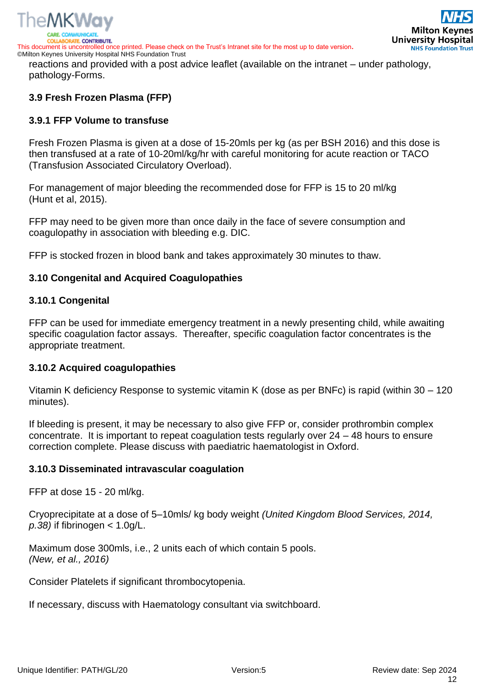



reactions and provided with a post advice leaflet (available on the intranet – under pathology, pathology-Forms.

# <span id="page-11-0"></span>**3.9 Fresh Frozen Plasma (FFP)**

# <span id="page-11-1"></span>**3.9.1 FFP Volume to transfuse**

Fresh Frozen Plasma is given at a dose of 15-20mls per kg (as per BSH 2016) and this dose is then transfused at a rate of 10-20ml/kg/hr with careful monitoring for acute reaction or TACO (Transfusion Associated Circulatory Overload).

For management of major bleeding the recommended dose for FFP is 15 to 20 ml/kg (Hunt et al, 2015).

FFP may need to be given more than once daily in the face of severe consumption and coagulopathy in association with bleeding e.g. DIC.

FFP is stocked frozen in blood bank and takes approximately 30 minutes to thaw.

# <span id="page-11-2"></span>**3.10 Congenital and Acquired Coagulopathies**

# <span id="page-11-3"></span>**3.10.1 Congenital**

FFP can be used for immediate emergency treatment in a newly presenting child, while awaiting specific coagulation factor assays. Thereafter, specific coagulation factor concentrates is the appropriate treatment.

# <span id="page-11-4"></span>**3.10.2 Acquired coagulopathies**

Vitamin K deficiency Response to systemic vitamin K (dose as per BNFc) is rapid (within 30 – 120 minutes).

If bleeding is present, it may be necessary to also give FFP or, consider prothrombin complex concentrate. It is important to repeat coagulation tests regularly over 24 – 48 hours to ensure correction complete. Please discuss with paediatric haematologist in Oxford.

# <span id="page-11-5"></span>**3.10.3 Disseminated intravascular coagulation**

FFP at dose 15 - 20 ml/kg.

Cryoprecipitate at a dose of 5–10mls/ kg body weight *(United Kingdom Blood Services, 2014, p.38)* if fibrinogen < 1.0g/L.

Maximum dose 300mls, i.e., 2 units each of which contain 5 pools. *(New, et al., 2016)*

Consider Platelets if significant thrombocytopenia.

If necessary, discuss with Haematology consultant via switchboard.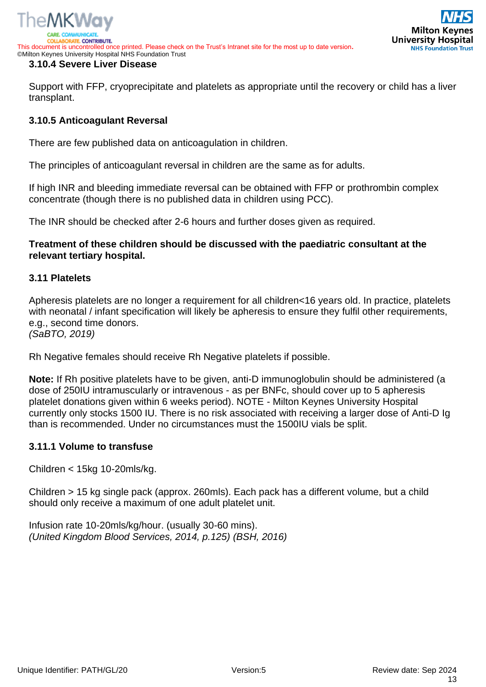

#### <span id="page-12-0"></span>**3.10.4 Severe Liver Disease**

Support with FFP, cryoprecipitate and platelets as appropriate until the recovery or child has a liver transplant.

# <span id="page-12-1"></span>**3.10.5 Anticoagulant Reversal**

There are few published data on anticoagulation in children.

The principles of anticoagulant reversal in children are the same as for adults.

If high INR and bleeding immediate reversal can be obtained with FFP or prothrombin complex concentrate (though there is no published data in children using PCC).

The INR should be checked after 2-6 hours and further doses given as required.

**Treatment of these children should be discussed with the paediatric consultant at the relevant tertiary hospital.**

#### <span id="page-12-2"></span>**3.11 Platelets**

Apheresis platelets are no longer a requirement for all children<16 years old. In practice, platelets with neonatal / infant specification will likely be apheresis to ensure they fulfil other requirements, e.g., second time donors.

*(SaBTO, 2019)*

Rh Negative females should receive Rh Negative platelets if possible.

**Note:** If Rh positive platelets have to be given, anti-D immunoglobulin should be administered (a dose of 250IU intramuscularly or intravenous - as per BNFc, should cover up to 5 apheresis platelet donations given within 6 weeks period). NOTE - Milton Keynes University Hospital currently only stocks 1500 IU. There is no risk associated with receiving a larger dose of Anti-D Ig than is recommended. Under no circumstances must the 1500IU vials be split.

#### <span id="page-12-3"></span>**3.11.1 Volume to transfuse**

Children < 15kg 10-20mls/kg.

Children > 15 kg single pack (approx. 260mls). Each pack has a different volume, but a child should only receive a maximum of one adult platelet unit.

Infusion rate 10-20mls/kg/hour. (usually 30-60 mins). *(United Kingdom Blood Services, 2014, p.125) (BSH, 2016)*

**Milton Key University Hospital** 

**NHS Foundation Trust**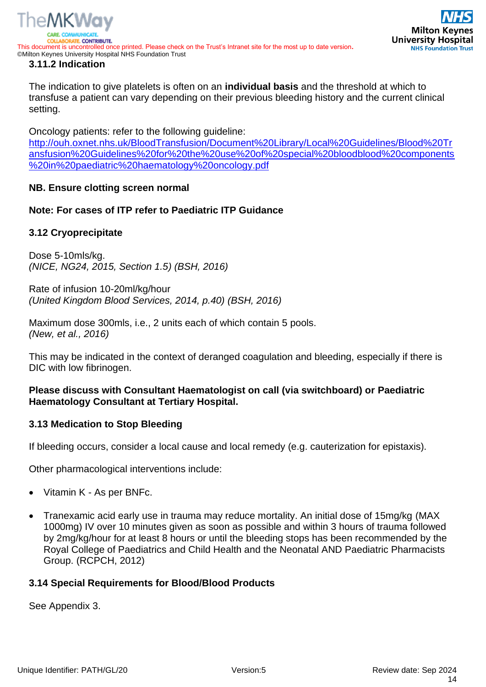

<span id="page-13-0"></span>The indication to give platelets is often on an **individual basis** and the threshold at which to transfuse a patient can vary depending on their previous bleeding history and the current clinical setting.

Oncology patients: refer to the following guideline: [http://ouh.oxnet.nhs.uk/BloodTransfusion/Document%20Library/Local%20Guidelines/Blood%20Tr](http://ouh.oxnet.nhs.uk/BloodTransfusion/Document%20Library/Local%20Guidelines/Blood%20Transfusion%20Guidelines%20for%20the%20use%20of%20special%20bloodblood%20components%20in%20paediatric%20haematology%20oncology.pdf) [ansfusion%20Guidelines%20for%20the%20use%20of%20special%20bloodblood%20components](http://ouh.oxnet.nhs.uk/BloodTransfusion/Document%20Library/Local%20Guidelines/Blood%20Transfusion%20Guidelines%20for%20the%20use%20of%20special%20bloodblood%20components%20in%20paediatric%20haematology%20oncology.pdf) [%20in%20paediatric%20haematology%20oncology.pdf](http://ouh.oxnet.nhs.uk/BloodTransfusion/Document%20Library/Local%20Guidelines/Blood%20Transfusion%20Guidelines%20for%20the%20use%20of%20special%20bloodblood%20components%20in%20paediatric%20haematology%20oncology.pdf)

# **NB. Ensure clotting screen normal**

# **Note: For cases of ITP refer to Paediatric ITP Guidance**

#### <span id="page-13-1"></span>**3.12 Cryoprecipitate**

Dose 5-10mls/kg. *(NICE, NG24, 2015, Section 1.5) (BSH, 2016)*

Rate of infusion 10-20ml/kg/hour *(United Kingdom Blood Services, 2014, p.40) (BSH, 2016)*

Maximum dose 300mls, i.e., 2 units each of which contain 5 pools. *(New, et al., 2016)*

This may be indicated in the context of deranged coagulation and bleeding, especially if there is DIC with low fibrinogen.

# **Please discuss with Consultant Haematologist on call (via switchboard) or Paediatric Haematology Consultant at Tertiary Hospital.**

#### <span id="page-13-2"></span>**3.13 Medication to Stop Bleeding**

If bleeding occurs, consider a local cause and local remedy (e.g. cauterization for epistaxis).

Other pharmacological interventions include:

- Vitamin K As per BNFc.
- Tranexamic acid early use in trauma may reduce mortality. An initial dose of 15mg/kg (MAX 1000mg) IV over 10 minutes given as soon as possible and within 3 hours of trauma followed by 2mg/kg/hour for at least 8 hours or until the bleeding stops has been recommended by the Royal College of Paediatrics and Child Health and the Neonatal AND Paediatric Pharmacists Group. (RCPCH, 2012)

# <span id="page-13-3"></span>**3.14 Special Requirements for Blood/Blood Products**

See Appendix 3.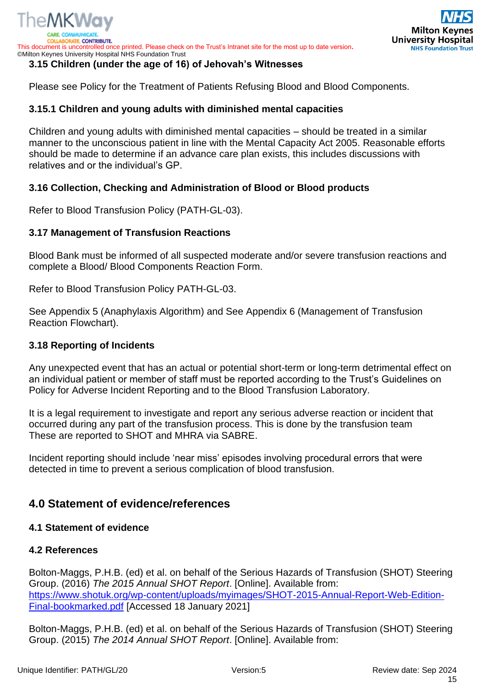# <span id="page-14-0"></span>**3.15 Children (under the age of 16) of Jehovah's Witnesses**

Please see Policy for the Treatment of Patients Refusing Blood and Blood Components.

# <span id="page-14-1"></span>**3.15.1 Children and young adults with diminished mental capacities**

Children and young adults with diminished mental capacities – should be treated in a similar manner to the unconscious patient in line with the Mental Capacity Act 2005. Reasonable efforts should be made to determine if an advance care plan exists, this includes discussions with relatives and or the individual's GP.

# <span id="page-14-2"></span>**3.16 Collection, Checking and Administration of Blood or Blood products**

Refer to Blood Transfusion Policy (PATH-GL-03).

# <span id="page-14-3"></span>**3.17 Management of Transfusion Reactions**

Blood Bank must be informed of all suspected moderate and/or severe transfusion reactions and complete a Blood/ Blood Components Reaction Form.

Refer to Blood Transfusion Policy PATH-GL-03.

See Appendix 5 (Anaphylaxis Algorithm) and See Appendix 6 (Management of Transfusion Reaction Flowchart).

# <span id="page-14-4"></span>**3.18 Reporting of Incidents**

Any unexpected event that has an actual or potential short-term or long-term detrimental effect on an individual patient or member of staff must be reported according to the Trust's Guidelines on Policy for Adverse Incident Reporting and to the Blood Transfusion Laboratory.

It is a legal requirement to investigate and report any serious adverse reaction or incident that occurred during any part of the transfusion process. This is done by the transfusion team These are reported to SHOT and MHRA via SABRE.

Incident reporting should include 'near miss' episodes involving procedural errors that were detected in time to prevent a serious complication of blood transfusion.

# <span id="page-14-5"></span>**4.0 Statement of evidence/references**

# <span id="page-14-6"></span>**4.1 Statement of evidence**

# <span id="page-14-7"></span>**4.2 References**

Bolton-Maggs, P.H.B. (ed) et al. on behalf of the Serious Hazards of Transfusion (SHOT) Steering Group. (2016) *The 2015 Annual SHOT Report*. [Online]. Available from: [https://www.shotuk.org/wp-content/uploads/myimages/SHOT-2015-Annual-Report-Web-Edition-](https://www.shotuk.org/wp-content/uploads/myimages/SHOT-2015-Annual-Report-Web-Edition-Final-bookmarked.pdf)[Final-bookmarked.pdf](https://www.shotuk.org/wp-content/uploads/myimages/SHOT-2015-Annual-Report-Web-Edition-Final-bookmarked.pdf) [Accessed 18 January 2021]

Bolton-Maggs, P.H.B. (ed) et al. on behalf of the Serious Hazards of Transfusion (SHOT) Steering Group. (2015) *The 2014 Annual SHOT Report*. [Online]. Available from: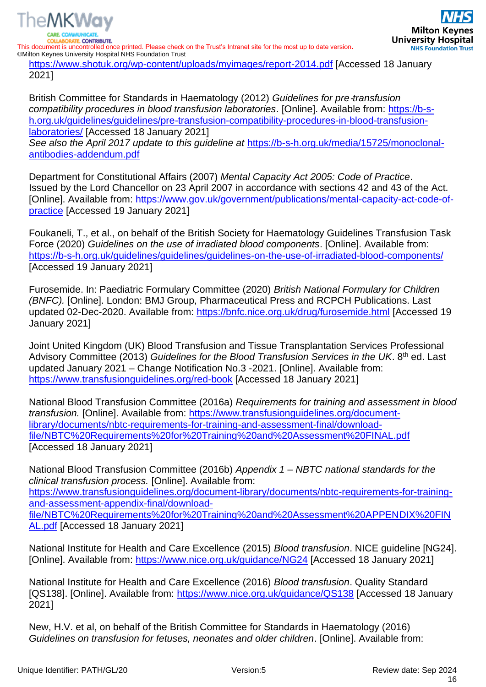

<https://www.shotuk.org/wp-content/uploads/myimages/report-2014.pdf> [Accessed 18 January 2021]

British Committee for Standards in Haematology (2012) *Guidelines for pre*‐*transfusion compatibility procedures in blood transfusion laboratories*. [Online]. Available from: [https://b-s](https://b-s-h.org.uk/guidelines/guidelines/pre-transfusion-compatibility-procedures-in-blood-transfusion-laboratories/)[h.org.uk/guidelines/guidelines/pre-transfusion-compatibility-procedures-in-blood-transfusion](https://b-s-h.org.uk/guidelines/guidelines/pre-transfusion-compatibility-procedures-in-blood-transfusion-laboratories/)[laboratories/](https://b-s-h.org.uk/guidelines/guidelines/pre-transfusion-compatibility-procedures-in-blood-transfusion-laboratories/) [Accessed 18 January 2021] *See also the April 2017 update to this guideline at* [https://b-s-h.org.uk/media/15725/monoclonal](https://b-s-h.org.uk/media/15725/monoclonal-antibodies-addendum.pdf)[antibodies-addendum.pdf](https://b-s-h.org.uk/media/15725/monoclonal-antibodies-addendum.pdf)

Department for Constitutional Affairs (2007) *Mental Capacity Act 2005: Code of Practice*. Issued by the Lord Chancellor on 23 April 2007 in accordance with sections 42 and 43 of the Act. [Online]. Available from: [https://www.gov.uk/government/publications/mental-capacity-act-code-of](https://www.gov.uk/government/publications/mental-capacity-act-code-of-practice)[practice](https://www.gov.uk/government/publications/mental-capacity-act-code-of-practice) [Accessed 19 January 2021]

Foukaneli, T., et al., on behalf of the British Society for Haematology Guidelines Transfusion Task Force (2020) *Guidelines on the use of irradiated blood components*. [Online]. Available from: <https://b-s-h.org.uk/guidelines/guidelines/guidelines-on-the-use-of-irradiated-blood-components/> [Accessed 19 January 2021]

Furosemide. In: Paediatric Formulary Committee (2020) *British National Formulary for Children (BNFC).* [Online]. London: BMJ Group, Pharmaceutical Press and RCPCH Publications. Last updated 02-Dec-2020. Available from:<https://bnfc.nice.org.uk/drug/furosemide.html> [Accessed 19 January 2021]

Joint United Kingdom (UK) Blood Transfusion and Tissue Transplantation Services Professional Advisory Committee (2013) *Guidelines for the Blood Transfusion Services in the UK*. 8th ed. Last updated January 2021 – Change Notification No.3 -2021. [Online]. Available from: <https://www.transfusionguidelines.org/red-book> [Accessed 18 January 2021]

National Blood Transfusion Committee (2016a) *Requirements for training and assessment in blood transfusion.* [Online]. Available from: [https://www.transfusionguidelines.org/document](https://www.transfusionguidelines.org/document-library/documents/nbtc-requirements-for-training-and-assessment-final/download-file/NBTC%20Requirements%20for%20Training%20and%20Assessment%20FINAL.pdf)[library/documents/nbtc-requirements-for-training-and-assessment-final/download](https://www.transfusionguidelines.org/document-library/documents/nbtc-requirements-for-training-and-assessment-final/download-file/NBTC%20Requirements%20for%20Training%20and%20Assessment%20FINAL.pdf)[file/NBTC%20Requirements%20for%20Training%20and%20Assessment%20FINAL.pdf](https://www.transfusionguidelines.org/document-library/documents/nbtc-requirements-for-training-and-assessment-final/download-file/NBTC%20Requirements%20for%20Training%20and%20Assessment%20FINAL.pdf) [Accessed 18 January 2021]

National Blood Transfusion Committee (2016b) *Appendix 1 – NBTC national standards for the clinical transfusion process.* [Online]. Available from: [https://www.transfusionguidelines.org/document-library/documents/nbtc-requirements-for-training](https://www.transfusionguidelines.org/document-library/documents/nbtc-requirements-for-training-and-assessment-appendix-final/download-file/NBTC%20Requirements%20for%20Training%20and%20Assessment%20APPENDIX%20FINAL.pdf)[and-assessment-appendix-final/download](https://www.transfusionguidelines.org/document-library/documents/nbtc-requirements-for-training-and-assessment-appendix-final/download-file/NBTC%20Requirements%20for%20Training%20and%20Assessment%20APPENDIX%20FINAL.pdf)[file/NBTC%20Requirements%20for%20Training%20and%20Assessment%20APPENDIX%20FIN](https://www.transfusionguidelines.org/document-library/documents/nbtc-requirements-for-training-and-assessment-appendix-final/download-file/NBTC%20Requirements%20for%20Training%20and%20Assessment%20APPENDIX%20FINAL.pdf) [AL.pdf](https://www.transfusionguidelines.org/document-library/documents/nbtc-requirements-for-training-and-assessment-appendix-final/download-file/NBTC%20Requirements%20for%20Training%20and%20Assessment%20APPENDIX%20FINAL.pdf) [Accessed 18 January 2021]

National Institute for Health and Care Excellence (2015) *Blood transfusion*. NICE guideline [NG24]. [Online]. Available from:<https://www.nice.org.uk/guidance/NG24> [Accessed 18 January 2021]

National Institute for Health and Care Excellence (2016) *Blood transfusion*. Quality Standard [QS138]. [Online]. Available from:<https://www.nice.org.uk/guidance/QS138> [Accessed 18 January 2021]

New, H.V. et al, on behalf of the British Committee for Standards in Haematology (2016) *Guidelines on transfusion for fetuses, neonates and older children*. [Online]. Available from: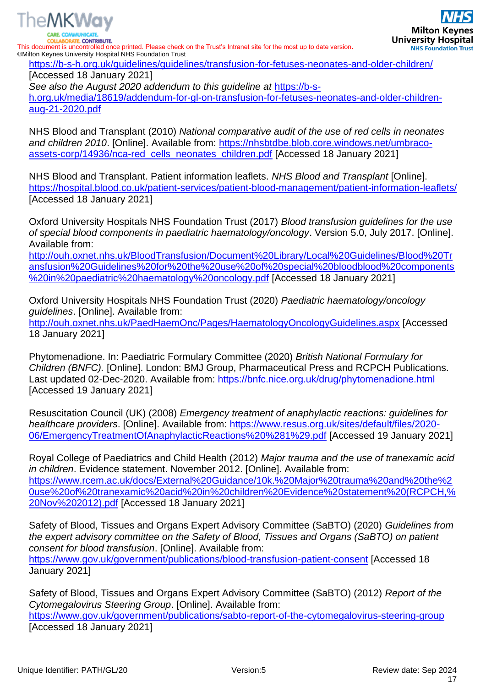

The MKWay

<https://b-s-h.org.uk/guidelines/guidelines/transfusion-for-fetuses-neonates-and-older-children/>

[Accessed 18 January 2021] *See also the August 2020 addendum to this guideline at* [https://b-s](https://b-s-h.org.uk/media/18619/addendum-for-gl-on-transfusion-for-fetuses-neonates-and-older-children-aug-21-2020.pdf)[h.org.uk/media/18619/addendum-for-gl-on-transfusion-for-fetuses-neonates-and-older-children](https://b-s-h.org.uk/media/18619/addendum-for-gl-on-transfusion-for-fetuses-neonates-and-older-children-aug-21-2020.pdf)[aug-21-2020.pdf](https://b-s-h.org.uk/media/18619/addendum-for-gl-on-transfusion-for-fetuses-neonates-and-older-children-aug-21-2020.pdf)

NHS Blood and Transplant (2010) *National comparative audit of the use of red cells in neonates*  and children 2010. [Online]. Available from: [https://nhsbtdbe.blob.core.windows.net/umbraco](https://nhsbtdbe.blob.core.windows.net/umbraco-assets-corp/14936/nca-red_cells_neonates_children.pdf)[assets-corp/14936/nca-red\\_cells\\_neonates\\_children.pdf](https://nhsbtdbe.blob.core.windows.net/umbraco-assets-corp/14936/nca-red_cells_neonates_children.pdf) [Accessed 18 January 2021]

NHS Blood and Transplant. Patient information leaflets. *NHS Blood and Transplant* [Online]. <https://hospital.blood.co.uk/patient-services/patient-blood-management/patient-information-leaflets/> [Accessed 18 January 2021]

Oxford University Hospitals NHS Foundation Trust (2017) *Blood transfusion guidelines for the use of special blood components in paediatric haematology/oncology*. Version 5.0, July 2017. [Online]. Available from:

[http://ouh.oxnet.nhs.uk/BloodTransfusion/Document%20Library/Local%20Guidelines/Blood%20Tr](http://ouh.oxnet.nhs.uk/BloodTransfusion/Document%20Library/Local%20Guidelines/Blood%20Transfusion%20Guidelines%20for%20the%20use%20of%20special%20bloodblood%20components%20in%20paediatric%20haematology%20oncology.pdf) [ansfusion%20Guidelines%20for%20the%20use%20of%20special%20bloodblood%20components](http://ouh.oxnet.nhs.uk/BloodTransfusion/Document%20Library/Local%20Guidelines/Blood%20Transfusion%20Guidelines%20for%20the%20use%20of%20special%20bloodblood%20components%20in%20paediatric%20haematology%20oncology.pdf) [%20in%20paediatric%20haematology%20oncology.pdf](http://ouh.oxnet.nhs.uk/BloodTransfusion/Document%20Library/Local%20Guidelines/Blood%20Transfusion%20Guidelines%20for%20the%20use%20of%20special%20bloodblood%20components%20in%20paediatric%20haematology%20oncology.pdf) [Accessed 18 January 2021]

Oxford University Hospitals NHS Foundation Trust (2020) *Paediatric haematology/oncology guidelines*. [Online]. Available from:

<http://ouh.oxnet.nhs.uk/PaedHaemOnc/Pages/HaematologyOncologyGuidelines.aspx> [Accessed 18 January 2021]

Phytomenadione. In: Paediatric Formulary Committee (2020) *British National Formulary for Children (BNFC).* [Online]. London: BMJ Group, Pharmaceutical Press and RCPCH Publications. Last updated 02-Dec-2020. Available from:<https://bnfc.nice.org.uk/drug/phytomenadione.html> [Accessed 19 January 2021]

Resuscitation Council (UK) (2008) *Emergency treatment of anaphylactic reactions: guidelines for healthcare providers*. [Online]. Available from: [https://www.resus.org.uk/sites/default/files/2020-](https://www.resus.org.uk/sites/default/files/2020-06/EmergencyTreatmentOfAnaphylacticReactions%20%281%29.pdf) [06/EmergencyTreatmentOfAnaphylacticReactions%20%281%29.pdf](https://www.resus.org.uk/sites/default/files/2020-06/EmergencyTreatmentOfAnaphylacticReactions%20%281%29.pdf) [Accessed 19 January 2021]

Royal College of Paediatrics and Child Health (2012) *Major trauma and the use of tranexamic acid in children*. Evidence statement. November 2012. [Online]. Available from: [https://www.rcem.ac.uk/docs/External%20Guidance/10k.%20Major%20trauma%20and%20the%2](https://www.rcem.ac.uk/docs/External%20Guidance/10k.%20Major%20trauma%20and%20the%20use%20of%20tranexamic%20acid%20in%20children%20Evidence%20statement%20(RCPCH,%20Nov%202012).pdf) [0use%20of%20tranexamic%20acid%20in%20children%20Evidence%20statement%20\(RCPCH,%](https://www.rcem.ac.uk/docs/External%20Guidance/10k.%20Major%20trauma%20and%20the%20use%20of%20tranexamic%20acid%20in%20children%20Evidence%20statement%20(RCPCH,%20Nov%202012).pdf) [20Nov%202012\).pdf](https://www.rcem.ac.uk/docs/External%20Guidance/10k.%20Major%20trauma%20and%20the%20use%20of%20tranexamic%20acid%20in%20children%20Evidence%20statement%20(RCPCH,%20Nov%202012).pdf) [Accessed 18 January 2021]

Safety of Blood, Tissues and Organs Expert Advisory Committee (SaBTO) (2020) *Guidelines from the expert advisory committee on the Safety of Blood, Tissues and Organs (SaBTO) on patient consent for blood transfusion*. [Online]. Available from:

<https://www.gov.uk/government/publications/blood-transfusion-patient-consent> [Accessed 18 January 2021]

Safety of Blood, Tissues and Organs Expert Advisory Committee (SaBTO) (2012) *Report of the Cytomegalovirus Steering Group*. [Online]. Available from:

<https://www.gov.uk/government/publications/sabto-report-of-the-cytomegalovirus-steering-group> [Accessed 18 January 2021]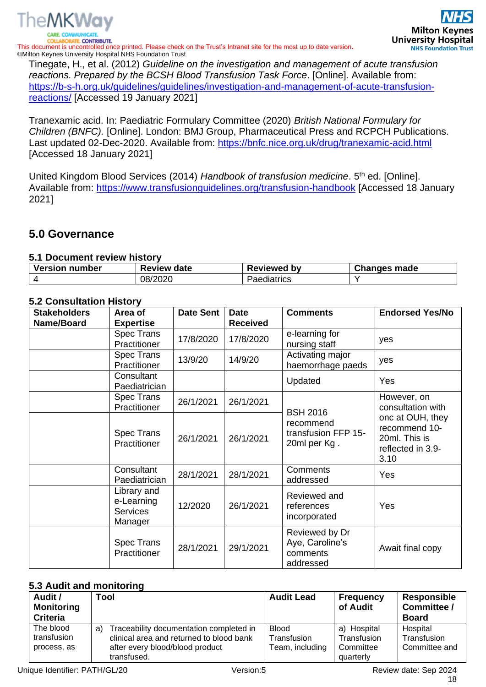

Tinegate, H., et al. (2012) *Guideline on the investigation and management of acute transfusion reactions. Prepared by the BCSH Blood Transfusion Task Force*. [Online]. Available from: [https://b-s-h.org.uk/guidelines/guidelines/investigation-and-management-of-acute-transfusion](https://b-s-h.org.uk/guidelines/guidelines/investigation-and-management-of-acute-transfusion-reactions/)[reactions/](https://b-s-h.org.uk/guidelines/guidelines/investigation-and-management-of-acute-transfusion-reactions/) [Accessed 19 January 2021]

Tranexamic acid. In: Paediatric Formulary Committee (2020) *British National Formulary for Children (BNFC).* [Online]. London: BMJ Group, Pharmaceutical Press and RCPCH Publications. Last updated 02-Dec-2020. Available from:<https://bnfc.nice.org.uk/drug/tranexamic-acid.html> [Accessed 18 January 2021]

United Kingdom Blood Services (2014) *Handbook of transfusion medicine*. 5<sup>th</sup> ed. [Online]. Available from:<https://www.transfusionguidelines.org/transfusion-handbook> [Accessed 18 January 2021]

# <span id="page-17-0"></span>**5.0 Governance**

# <span id="page-17-1"></span>**5.1 Document review history**

| <b>Version number</b> | <b>Review date</b> | Reviewed<br>b٧ | <b>Changes made</b> |
|-----------------------|--------------------|----------------|---------------------|
|                       | 08/2020            | Paediatrics    |                     |

# <span id="page-17-2"></span>**5.2 Consultation History**

| <b>Stakeholders</b> | Area of                                                 | <b>Date Sent</b> | <b>Date</b>     | <b>Comments</b>                                            | <b>Endorsed Yes/No</b>                                                                                              |
|---------------------|---------------------------------------------------------|------------------|-----------------|------------------------------------------------------------|---------------------------------------------------------------------------------------------------------------------|
| Name/Board          | <b>Expertise</b>                                        |                  | <b>Received</b> |                                                            |                                                                                                                     |
|                     | Spec Trans<br>Practitioner                              | 17/8/2020        | 17/8/2020       | e-learning for<br>nursing staff                            | yes                                                                                                                 |
|                     | <b>Spec Trans</b><br>Practitioner                       | 13/9/20          | 14/9/20         | Activating major<br>haemorrhage paeds                      | yes                                                                                                                 |
|                     | Consultant<br>Paediatrician                             |                  |                 | Updated                                                    | Yes                                                                                                                 |
|                     | <b>Spec Trans</b><br>Practitioner                       | 26/1/2021        | 26/1/2021       | <b>BSH 2016</b>                                            | However, on<br>consultation with<br>onc at OUH, they<br>recommend 10-<br>20ml. This is<br>reflected in 3.9-<br>3.10 |
|                     | <b>Spec Trans</b><br>Practitioner                       | 26/1/2021        | 26/1/2021       | recommend<br>transfusion FFP 15-<br>20ml per Kg.           |                                                                                                                     |
|                     | Consultant<br>Paediatrician                             | 28/1/2021        | 28/1/2021       | <b>Comments</b><br>addressed                               | Yes                                                                                                                 |
|                     | Library and<br>e-Learning<br><b>Services</b><br>Manager | 12/2020          | 26/1/2021       | Reviewed and<br>references<br>incorporated                 | Yes                                                                                                                 |
|                     | <b>Spec Trans</b><br>Practitioner                       | 28/1/2021        | 29/1/2021       | Reviewed by Dr<br>Aye, Caroline's<br>comments<br>addressed | Await final copy                                                                                                    |

# <span id="page-17-3"></span>**5.3 Audit and monitoring**

| Audit /<br><b>Monitoring</b><br><b>Criteria</b> | Tool                                                                                                                                        | <b>Audit Lead</b>                              | <b>Frequency</b><br>of Audit                         | <b>Responsible</b><br>Committee /<br><b>Board</b> |
|-------------------------------------------------|---------------------------------------------------------------------------------------------------------------------------------------------|------------------------------------------------|------------------------------------------------------|---------------------------------------------------|
| The blood<br>transfusion<br>process, as         | Traceability documentation completed in<br>a)<br>clinical area and returned to blood bank<br>after every blood/blood product<br>transfused. | <b>Blood</b><br>Transfusion<br>Team, including | a) Hospital<br>Transfusion<br>Committee<br>quarterly | Hospital<br>Transfusion<br>Committee and          |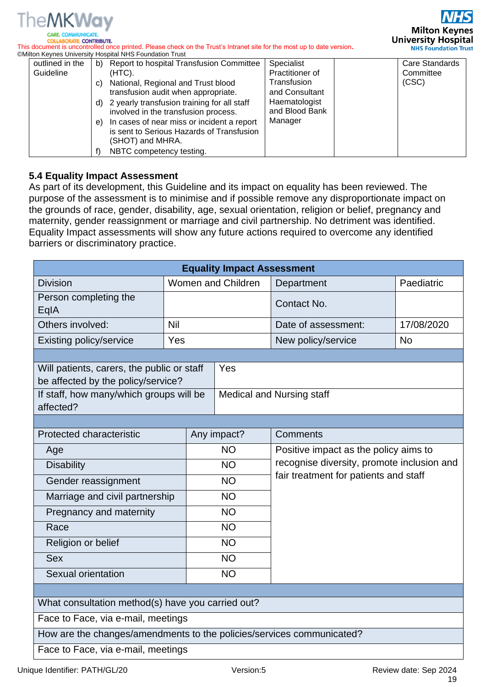

**Milton Keynes University Hospital NHS Foundation Trust** 

**COLLABORATE, CONTRIBUTE.** This document is uncontrolled once printed. Please check on the Trust's Intranet site for the most up to date version**.** ©Milton Keynes University Hospital NHS Foundation Trust

| outlined in the | b) | Report to hospital Transfusion Committee    | Specialist      | <b>Care Standards</b> |
|-----------------|----|---------------------------------------------|-----------------|-----------------------|
| Guideline       |    | $(HTC)$ .                                   | Practitioner of | Committee             |
|                 | C) | National, Regional and Trust blood          | Transfusion     | (CSC)                 |
|                 |    | transfusion audit when appropriate.         | and Consultant  |                       |
|                 | d) | 2 yearly transfusion training for all staff | Haematologist   |                       |
|                 |    | involved in the transfusion process.        | and Blood Bank  |                       |
|                 | e) | In cases of near miss or incident a report  | Manager         |                       |
|                 |    | is sent to Serious Hazards of Transfusion   |                 |                       |
|                 |    | (SHOT) and MHRA.                            |                 |                       |
|                 |    | NBTC competency testing.                    |                 |                       |

# <span id="page-18-0"></span>**5.4 Equality Impact Assessment**

As part of its development, this Guideline and its impact on equality has been reviewed. The purpose of the assessment is to minimise and if possible remove any disproportionate impact on the grounds of race, gender, disability, age, sexual orientation, religion or belief, pregnancy and maternity, gender reassignment or marriage and civil partnership. No detriment was identified. Equality Impact assessments will show any future actions required to overcome any identified barriers or discriminatory practice.

|                                                                                  |                    | <b>Equality Impact Assessment</b> |                                                                                                                              |            |  |
|----------------------------------------------------------------------------------|--------------------|-----------------------------------|------------------------------------------------------------------------------------------------------------------------------|------------|--|
| <b>Division</b>                                                                  | Women and Children |                                   | Department                                                                                                                   | Paediatric |  |
| Person completing the<br>EqIA                                                    |                    |                                   | Contact No.                                                                                                                  |            |  |
| Others involved:                                                                 | <b>Nil</b>         |                                   | Date of assessment:                                                                                                          | 17/08/2020 |  |
| <b>Existing policy/service</b>                                                   | Yes                |                                   | New policy/service                                                                                                           | <b>No</b>  |  |
|                                                                                  |                    |                                   |                                                                                                                              |            |  |
| Will patients, carers, the public or staff<br>be affected by the policy/service? |                    | Yes                               |                                                                                                                              |            |  |
| If staff, how many/which groups will be<br>affected?                             |                    | <b>Medical and Nursing staff</b>  |                                                                                                                              |            |  |
|                                                                                  |                    |                                   |                                                                                                                              |            |  |
| Protected characteristic                                                         |                    | Any impact?                       | Comments                                                                                                                     |            |  |
| Age                                                                              |                    | <b>NO</b>                         | Positive impact as the policy aims to<br>recognise diversity, promote inclusion and<br>fair treatment for patients and staff |            |  |
| <b>Disability</b>                                                                |                    | <b>NO</b>                         |                                                                                                                              |            |  |
| Gender reassignment                                                              |                    | <b>NO</b>                         |                                                                                                                              |            |  |
| Marriage and civil partnership                                                   |                    | <b>NO</b>                         |                                                                                                                              |            |  |
| Pregnancy and maternity                                                          |                    | <b>NO</b>                         |                                                                                                                              |            |  |
| Race                                                                             |                    | <b>NO</b>                         |                                                                                                                              |            |  |
| Religion or belief                                                               |                    | <b>NO</b>                         |                                                                                                                              |            |  |
| <b>Sex</b>                                                                       |                    | <b>NO</b>                         |                                                                                                                              |            |  |
| Sexual orientation                                                               |                    | <b>NO</b>                         |                                                                                                                              |            |  |
|                                                                                  |                    |                                   |                                                                                                                              |            |  |
| What consultation method(s) have you carried out?                                |                    |                                   |                                                                                                                              |            |  |
| Face to Face, via e-mail, meetings                                               |                    |                                   |                                                                                                                              |            |  |
| How are the changes/amendments to the policies/services communicated?            |                    |                                   |                                                                                                                              |            |  |
| Face to Face, via e-mail, meetings                                               |                    |                                   |                                                                                                                              |            |  |
| Unique Identifier: PATH/GL/20<br>Version:5<br>Review date: Sep 2024              |                    |                                   |                                                                                                                              |            |  |

19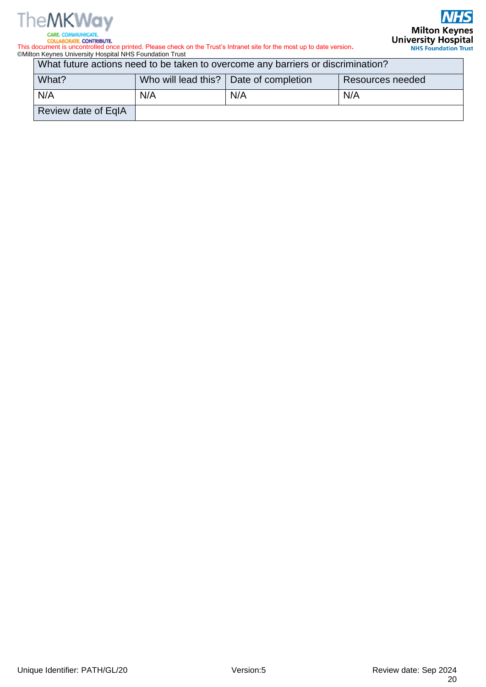

**COLLABORATE, CONTRIBUTE.** 

This document is uncontrolled once printed. Please check on the Trust's Intranet site for the most up to date version**.** ©Milton Keynes University Hospital NHS Foundation Trust

What future actions need to be taken to overcome any barriers or discrimination?

| What?               |     | Who will lead this?   Date of completion | Resources needed |
|---------------------|-----|------------------------------------------|------------------|
| N/A                 | N/A | N/A                                      | N/A              |
| Review date of EqIA |     |                                          |                  |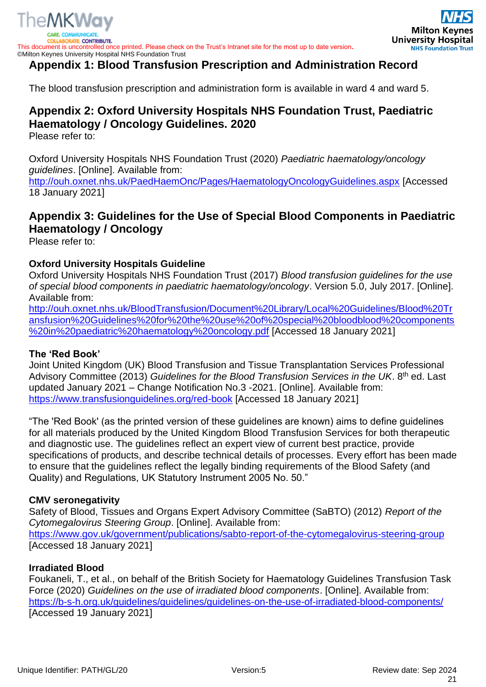



# <span id="page-20-0"></span>**Appendix 1: Blood Transfusion Prescription and Administration Record**

The blood transfusion prescription and administration form is available in ward 4 and ward 5.

# <span id="page-20-1"></span>**Appendix 2: Oxford University Hospitals NHS Foundation Trust, Paediatric Haematology / Oncology Guidelines. 2020**

Please refer to:

Oxford University Hospitals NHS Foundation Trust (2020) *Paediatric haematology/oncology guidelines*. [Online]. Available from:

<http://ouh.oxnet.nhs.uk/PaedHaemOnc/Pages/HaematologyOncologyGuidelines.aspx> [Accessed 18 January 2021]

# <span id="page-20-2"></span>**Appendix 3: Guidelines for the Use of Special Blood Components in Paediatric Haematology / Oncology**

Please refer to:

# **Oxford University Hospitals Guideline**

Oxford University Hospitals NHS Foundation Trust (2017) *Blood transfusion guidelines for the use of special blood components in paediatric haematology/oncology*. Version 5.0, July 2017. [Online]. Available from:

[http://ouh.oxnet.nhs.uk/BloodTransfusion/Document%20Library/Local%20Guidelines/Blood%20Tr](http://ouh.oxnet.nhs.uk/BloodTransfusion/Document%20Library/Local%20Guidelines/Blood%20Transfusion%20Guidelines%20for%20the%20use%20of%20special%20bloodblood%20components%20in%20paediatric%20haematology%20oncology.pdf) [ansfusion%20Guidelines%20for%20the%20use%20of%20special%20bloodblood%20components](http://ouh.oxnet.nhs.uk/BloodTransfusion/Document%20Library/Local%20Guidelines/Blood%20Transfusion%20Guidelines%20for%20the%20use%20of%20special%20bloodblood%20components%20in%20paediatric%20haematology%20oncology.pdf) [%20in%20paediatric%20haematology%20oncology.pdf](http://ouh.oxnet.nhs.uk/BloodTransfusion/Document%20Library/Local%20Guidelines/Blood%20Transfusion%20Guidelines%20for%20the%20use%20of%20special%20bloodblood%20components%20in%20paediatric%20haematology%20oncology.pdf) [Accessed 18 January 2021]

# **The 'Red Book'**

Joint United Kingdom (UK) Blood Transfusion and Tissue Transplantation Services Professional Advisory Committee (2013) *Guidelines for the Blood Transfusion Services in the UK*. 8th ed. Last updated January 2021 – Change Notification No.3 -2021. [Online]. Available from: <https://www.transfusionguidelines.org/red-book> [Accessed 18 January 2021]

"The 'Red Book' (as the printed version of these guidelines are known) aims to define guidelines for all materials produced by the United Kingdom Blood Transfusion Services for both therapeutic and diagnostic use. The guidelines reflect an expert view of current best practice, provide specifications of products, and describe technical details of processes. Every effort has been made to ensure that the guidelines reflect the legally binding requirements of the Blood Safety (and Quality) and Regulations, UK Statutory Instrument 2005 No. 50."

# **CMV seronegativity**

Safety of Blood, Tissues and Organs Expert Advisory Committee (SaBTO) (2012) *Report of the Cytomegalovirus Steering Group*. [Online]. Available from: <https://www.gov.uk/government/publications/sabto-report-of-the-cytomegalovirus-steering-group> [Accessed 18 January 2021]

# **Irradiated Blood**

Foukaneli, T., et al., on behalf of the British Society for Haematology Guidelines Transfusion Task Force (2020) *Guidelines on the use of irradiated blood components*. [Online]. Available from: <https://b-s-h.org.uk/guidelines/guidelines/guidelines-on-the-use-of-irradiated-blood-components/> [Accessed 19 January 2021]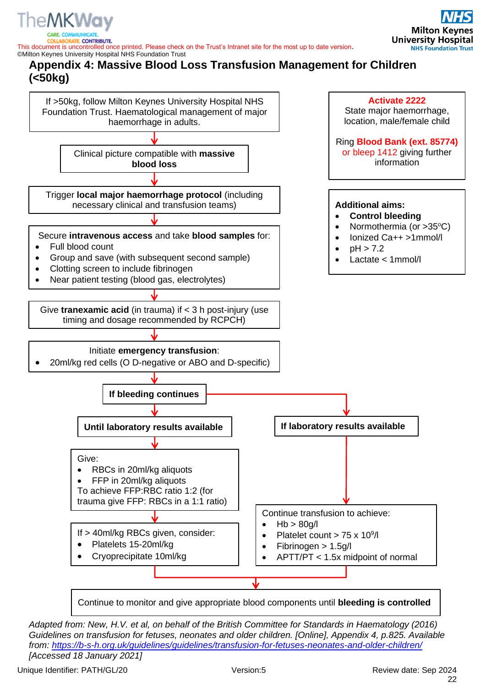

**E. CONTRIBUTE.** 

<span id="page-21-0"></span>This document is uncontrolled once printed. Please check on the Trust's Intranet site for the most up to date version**.** ©Milton Keynes University Hospital NHS Foundation Trust **Appendix 4: Massive Blood Loss Transfusion Management for Children (<50kg)**



Continue to monitor and give appropriate blood components until **bleeding is controlled**

*Adapted from: New, H.V. et al, on behalf of the British Committee for Standards in Haematology (2016) Guidelines on transfusion for fetuses, neonates and older children. [Online], Appendix 4, p.825. Available from:<https://b-s-h.org.uk/guidelines/guidelines/transfusion-for-fetuses-neonates-and-older-children/> [Accessed 18 January 2021]*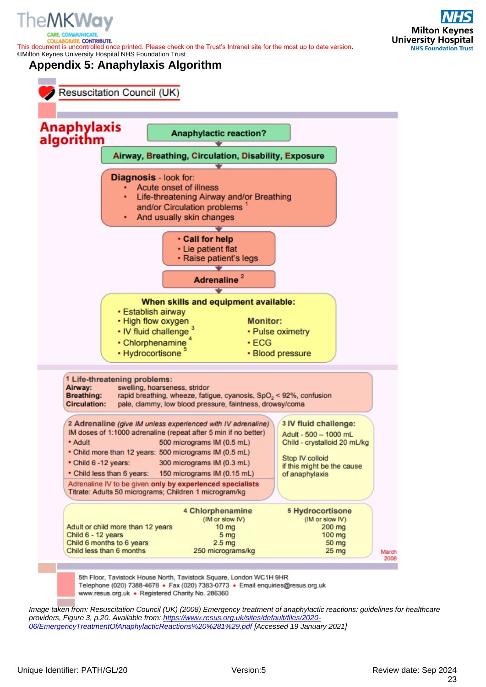

*<u>ITE. CONTRIBUTE.</u>* 

**Milton Keynes University Hospital NHS Foundation Trust** 

<span id="page-22-0"></span>©Milton Keynes University Hospital NHS Foundation Trust **Appendix 5: Anaphylaxis Algorithm**

This document is uncontrolled once printed. Please check on the Trust's Intranet site for the most up to date version**.**



www.resus.org.uk · Registered Charity No. 286360

*Image taken from: Resuscitation Council (UK) (2008) Emergency treatment of anaphylactic reactions: guidelines for healthcare providers, Figure 3, p.20. Available from: [https://www.resus.org.uk/sites/default/files/2020-](https://www.resus.org.uk/sites/default/files/2020-06/EmergencyTreatmentOfAnaphylacticReactions%20%281%29.pdf) [06/EmergencyTreatmentOfAnaphylacticReactions%20%281%29.pdf](https://www.resus.org.uk/sites/default/files/2020-06/EmergencyTreatmentOfAnaphylacticReactions%20%281%29.pdf) [Accessed 19 January 2021]*